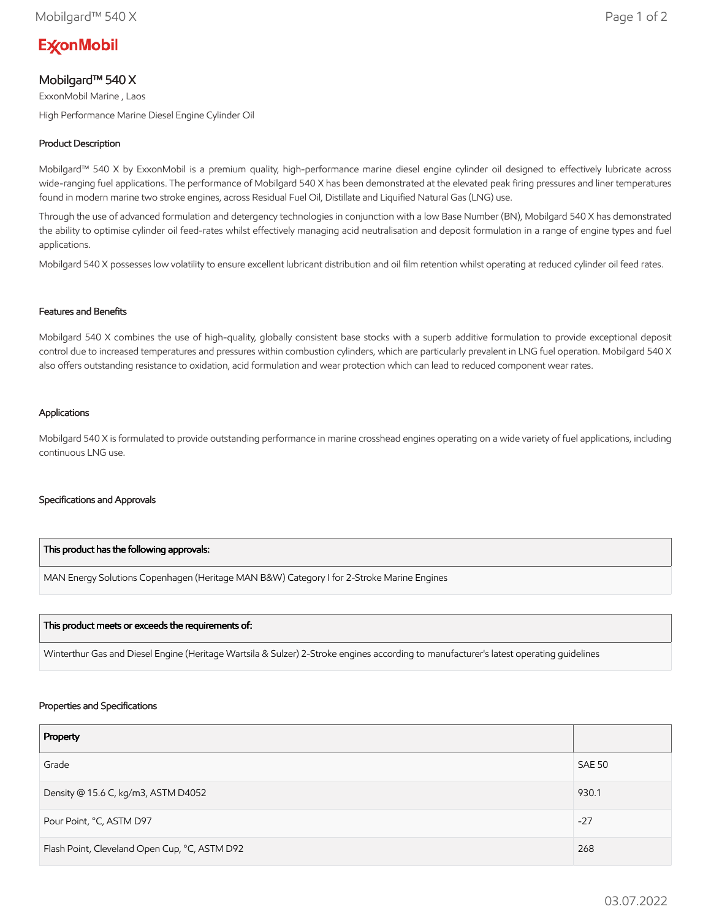# **ExconMobil**

## Mobilgard™ 540 X

ExxonMobil Marine , Laos High Performance Marine Diesel Engine Cylinder Oil

### Product Description

Mobilgard™ 540 X by ExxonMobil is a premium quality, high-performance marine diesel engine cylinder oil designed to effectively lubricate across wide-ranging fuel applications. The performance of Mobilgard 540 X has been demonstrated at the elevated peak firing pressures and liner temperatures found in modern marine two stroke engines, across Residual Fuel Oil, Distillate and Liquified Natural Gas (LNG) use.

Through the use of advanced formulation and detergency technologies in conjunction with a low Base Number (BN), Mobilgard 540 X has demonstrated the ability to optimise cylinder oil feed-rates whilst effectively managing acid neutralisation and deposit formulation in a range of engine types and fuel applications.

Mobilgard 540 X possesses low volatility to ensure excellent lubricant distribution and oil film retention whilst operating at reduced cylinder oil feed rates.

#### Features and Benefits

Mobilgard 540 X combines the use of high-quality, globally consistent base stocks with a superb additive formulation to provide exceptional deposit control due to increased temperatures and pressures within combustion cylinders, which are particularly prevalent in LNG fuel operation. Mobilgard 540 X also offers outstanding resistance to oxidation, acid formulation and wear protection which can lead to reduced component wear rates.

#### Applications

Mobilgard 540 X is formulated to provide outstanding performance in marine crosshead engines operating on a wide variety of fuel applications, including continuous LNG use.

#### Specifications and Approvals

#### This product has the following approvals:

MAN Energy Solutions Copenhagen (Heritage MAN B&W) Category I for 2-Stroke Marine Engines

#### This product meets or exceeds the requirements of:

Winterthur Gas and Diesel Engine (Heritage Wartsila & Sulzer) 2-Stroke engines according to manufacturer's latest operating guidelines

#### Properties and Specifications

| Property                                      |               |
|-----------------------------------------------|---------------|
| Grade                                         | <b>SAE 50</b> |
| Density @ 15.6 C, kg/m3, ASTM D4052           | 930.1         |
| Pour Point, °C, ASTM D97                      | $-27$         |
| Flash Point, Cleveland Open Cup, °C, ASTM D92 | 268           |